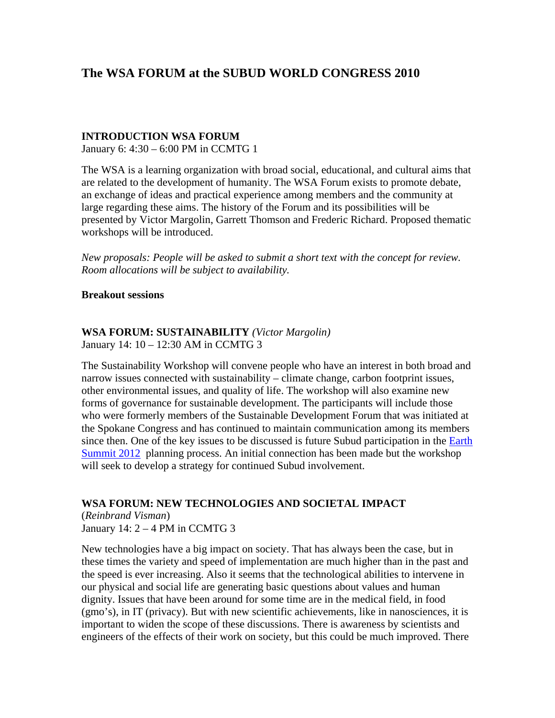# **The WSA FORUM at the SUBUD WORLD CONGRESS 2010**

### **INTRODUCTION WSA FORUM**

January 6: 4:30 – 6:00 PM in CCMTG 1

The WSA is a learning organization with broad social, educational, and cultural aims that are related to the development of humanity. The WSA Forum exists to promote debate, an exchange of ideas and practical experience among members and the community at large regarding these aims. The history of the Forum and its possibilities will be presented by Victor Margolin, Garrett Thomson and Frederic Richard. Proposed thematic workshops will be introduced.

*New proposals: People will be asked to submit a short text with the concept for review. Room allocations will be subject to availability.* 

#### **Breakout sessions**

#### **WSA FORUM: SUSTAINABILITY** *(Victor Margolin)*  January 14: 10 – 12:30 AM in CCMTG 3

The Sustainability Workshop will convene people who have an interest in both broad and narrow issues connected with sustainability – climate change, carbon footprint issues, other environmental issues, and quality of life. The workshop will also examine new forms of governance for sustainable development. The participants will include those who were formerly members of the Sustainable Development Forum that was initiated at the Spokane Congress and has continued to maintain communication among its members since then. One of the key issues to be discussed is future Subud participation in the Earth [Summit 2012](http://www.earthsummit2012.org/) planning process. An initial connection has been made but the workshop will seek to develop a strategy for continued Subud involvement.

### **WSA FORUM: NEW TECHNOLOGIES AND SOCIETAL IMPACT**

(*Reinbrand Visman*) January 14:  $2 - 4$  PM in CCMTG 3

New technologies have a big impact on society. That has always been the case, but in these times the variety and speed of implementation are much higher than in the past and the speed is ever increasing. Also it seems that the technological abilities to intervene in our physical and social life are generating basic questions about values and human dignity. Issues that have been around for some time are in the medical field, in food (gmo's), in IT (privacy). But with new scientific achievements, like in nanosciences, it is important to widen the scope of these discussions. There is awareness by scientists and engineers of the effects of their work on society, but this could be much improved. There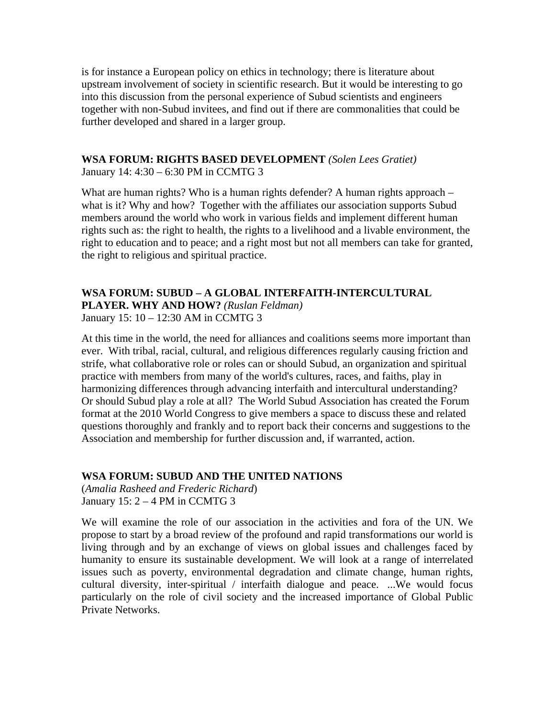is for instance a European policy on ethics in technology; there is literature about upstream involvement of society in scientific research. But it would be interesting to go into this discussion from the personal experience of Subud scientists and engineers together with non-Subud invitees, and find out if there are commonalities that could be further developed and shared in a larger group.

## **WSA FORUM: RIGHTS BASED DEVELOPMENT** *(Solen Lees Gratiet)*

January 14: 4:30 – 6:30 PM in CCMTG 3

What are human rights? Who is a human rights defender? A human rights approach – what is it? Why and how? Together with the affiliates our association supports Subud members around the world who work in various fields and implement different human rights such as: the right to health, the rights to a livelihood and a livable environment, the right to education and to peace; and a right most but not all members can take for granted, the right to religious and spiritual practice.

## **WSA FORUM: SUBUD – A GLOBAL INTERFAITH-INTERCULTURAL PLAYER. WHY AND HOW?** *(Ruslan Feldman)*

January 15: 10 – 12:30 AM in CCMTG 3

At this time in the world, the need for alliances and coalitions seems more important than ever. With tribal, racial, cultural, and religious differences regularly causing friction and strife, what collaborative role or roles can or should Subud, an organization and spiritual practice with members from many of the world's cultures, races, and faiths, play in harmonizing differences through advancing interfaith and intercultural understanding? Or should Subud play a role at all? The World Subud Association has created the Forum format at the 2010 World Congress to give members a space to discuss these and related questions thoroughly and frankly and to report back their concerns and suggestions to the Association and membership for further discussion and, if warranted, action.

### **WSA FORUM: SUBUD AND THE UNITED NATIONS**

(*Amalia Rasheed and Frederic Richard*) January  $15: 2 - 4$  PM in CCMTG 3

We will examine the role of our association in the activities and fora of the UN. We propose to start by a broad review of the profound and rapid transformations our world is living through and by an exchange of views on global issues and challenges faced by humanity to ensure its sustainable development. We will look at a range of interrelated issues such as poverty, environmental degradation and climate change, human rights, cultural diversity, inter-spiritual / interfaith dialogue and peace. ...We would focus particularly on the role of civil society and the increased importance of Global Public Private Networks.